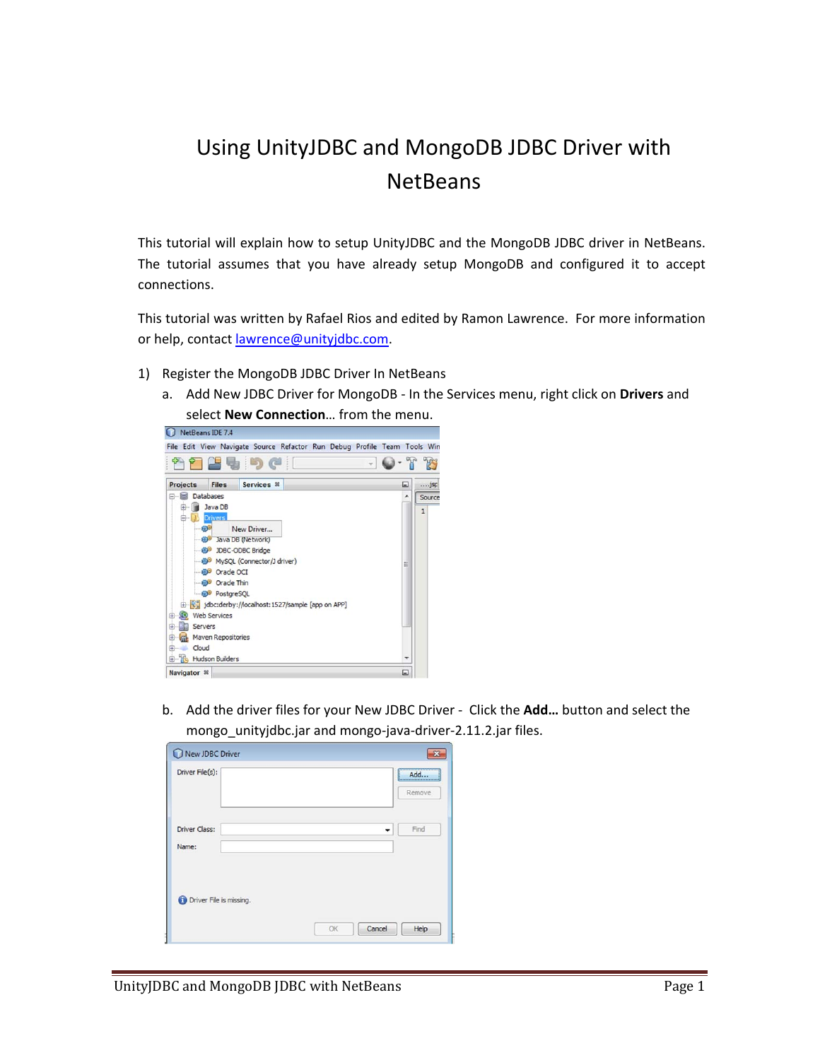## Using UnityJDBC and MongoDB JDBC Driver with **NetBeans**

This tutorial will explain how to setup UnityJDBC and the MongoDB JDBC driver in NetBeans. The tutorial assumes that you have already setup MongoDB and configured it to accept connections.

This tutorial was written by Rafael Rios and edited by Ramon Lawrence. For more information or help, contact lawrence@unityjdbc.com.

- 1) Register the MongoDB JDBC Driver In NetBeans
	- a. Add New JDBC Driver for MongoDB ‐ In the Services menu, right click on **Drivers** and select **New Connection**… from the menu.



b. Add the driver files for your New JDBC Driver ‐ Click the **Add…** button and select the mongo unityjdbc.jar and mongo-java-driver-2.11.2.jar files.

| Driver File(s):                  |            | Add<br><br>Remove |
|----------------------------------|------------|-------------------|
| Driver Class:<br>Name:           | $\check{}$ | Find              |
| <b>O</b> Driver File is missing. |            |                   |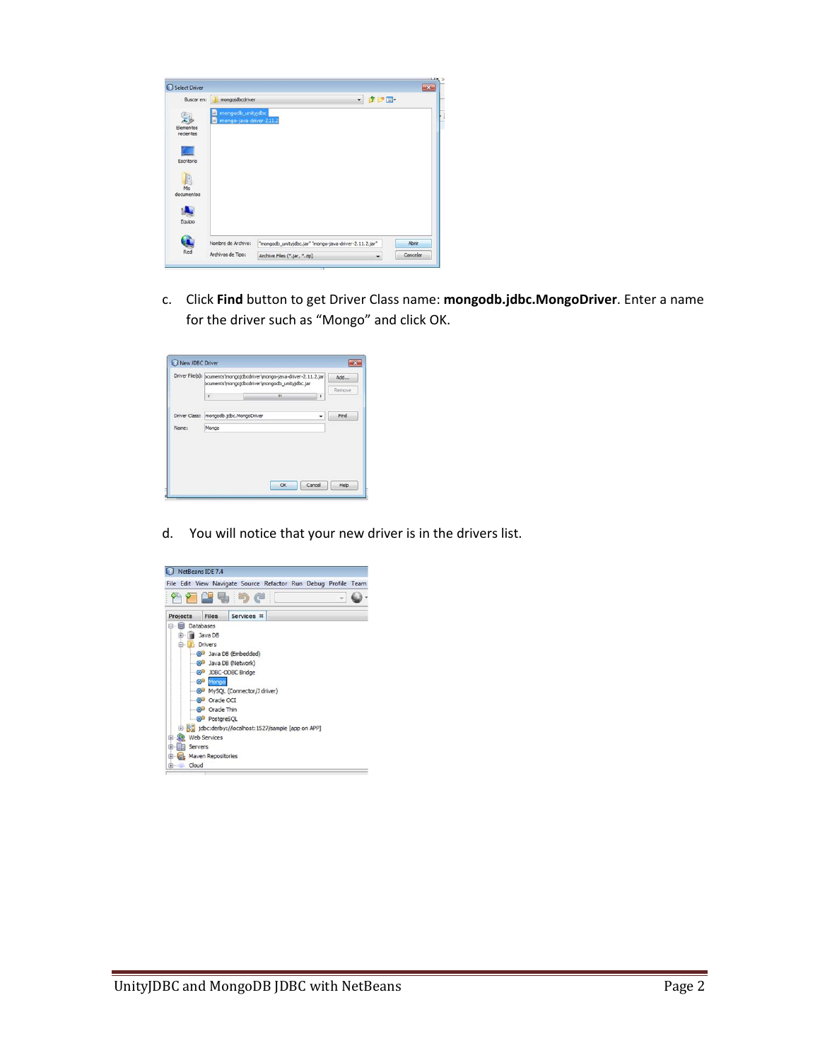| Buscar en:             | mongojdbcdriver                                           |                                                        | - まい皿 |       |
|------------------------|-----------------------------------------------------------|--------------------------------------------------------|-------|-------|
| Elementos<br>recientes | mongodb_unityjdbc<br>ш<br>mongo-java-driver-2.11.2<br>ui) |                                                        |       |       |
| Escritorio             |                                                           |                                                        |       |       |
| Mis<br>documentos      |                                                           |                                                        |       |       |
| Equipo                 |                                                           |                                                        |       |       |
|                        | Nombre de Archivo:                                        | "mongodb_unityjdbc.jar" "mongo-java-driver-2.11.2.jar" |       | Abrir |
|                        |                                                           |                                                        |       |       |

c. Click **Find** button to get Driver Class name: **mongodb.jdbc.MongoDriver**. Enter a name for the driver such as "Mongo" and click OK.

|       |                                        | Driver File(s): pcuments/mongojdbcdriver/mongo-java-driver-2.11.2.jar<br>pcuments/mongojdbcdriver/mongodb_unityjdbc.jar |   | Add    |
|-------|----------------------------------------|-------------------------------------------------------------------------------------------------------------------------|---|--------|
|       | $\epsilon$                             | m                                                                                                                       | ۲ | Remove |
|       | Driver Class: mongodb.jdbc.MongoDriver |                                                                                                                         |   | Find   |
| Name: | Mongo                                  |                                                                                                                         |   |        |
|       |                                        |                                                                                                                         |   |        |
|       |                                        |                                                                                                                         |   |        |
|       |                                        |                                                                                                                         |   |        |

d. You will notice that your new driver is in the drivers list.

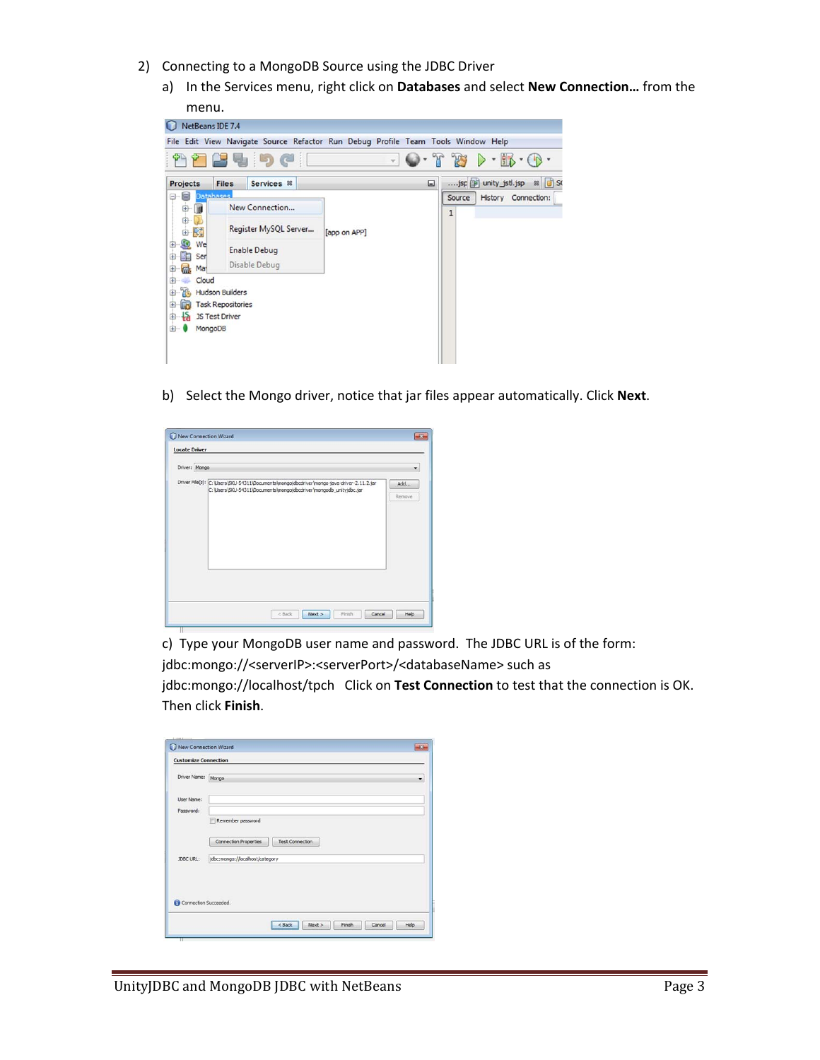- 2) Connecting to a MongoDB Source using the JDBC Driver
	- a) In the Services menu, right click on **Databases** and select **New Connection…** from the



b) Select the Mongo driver, notice that jar files appear automatically. Click **Next**.

| Driver: Mongo |                                                                                                                                                                 | ۰             |
|---------------|-----------------------------------------------------------------------------------------------------------------------------------------------------------------|---------------|
|               | Driver File(s): C:\Users\SKU-54311\Documents\mongojdbcdriver\mongo-java-driver-2.11.2.jar<br>C:\Users\SKU-54311\Documents\mongojdbcdriver\mongodb_unityjdbc.jar | Add<br>Remove |
|               |                                                                                                                                                                 |               |

c) Type your MongoDB user name and password. The JDBC URL is of the form: jdbc:mongo://<serverIP>:<serverPort>/<databaseName> such as jdbc:mongo://localhost/tpch Click on **Test Connection** to test that the connection is OK. Then click **Finish**.

| Driver Name: Mongo |                                                        |
|--------------------|--------------------------------------------------------|
| User Name:         |                                                        |
| Password:          |                                                        |
|                    | Remember password                                      |
|                    | <b>Connection Properties</b><br><b>Test Connection</b> |
| JDBC URL:          | jdbc:mongo://localhost/category                        |
|                    |                                                        |
|                    |                                                        |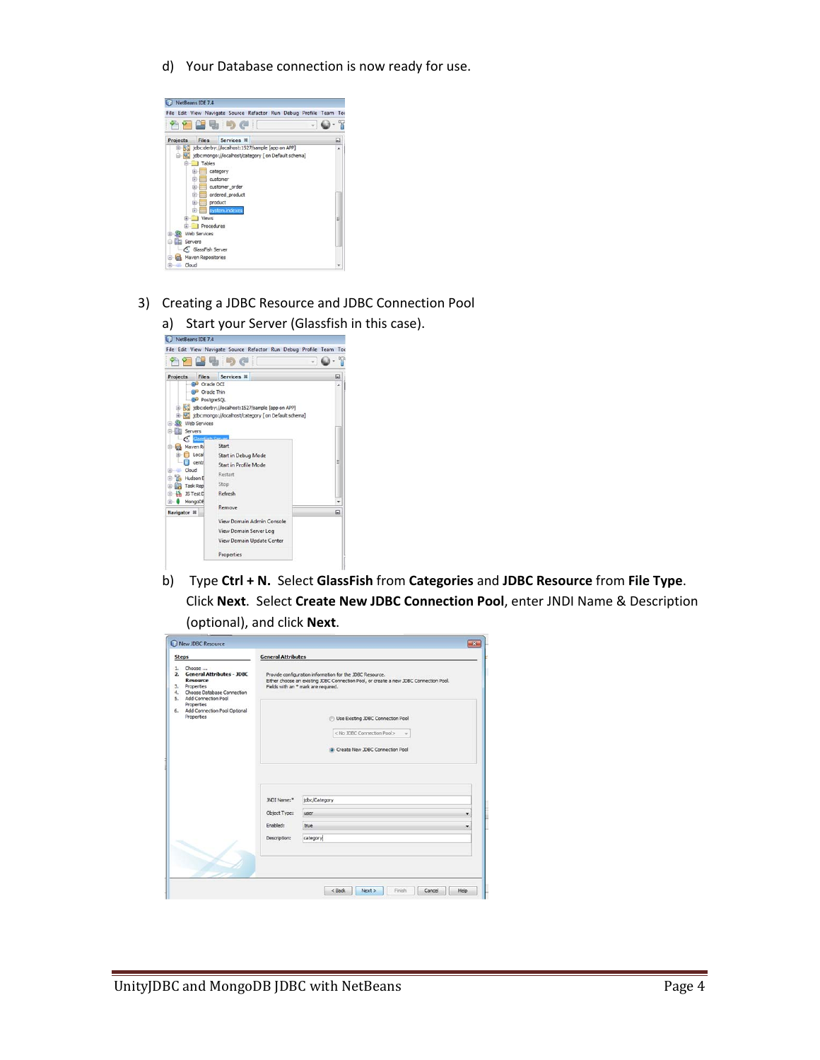d) Your Database connection is now ready for use.



- 3) Creating a JDBC Resource and JDBC Connection Pool
	- a) Start your Server (Glassfish in this case).<br>  $Q$  NetBeans IDE 7.4



b) Type **Ctrl + N.** Select **GlassFish** from **Categories** and **JDBC Resource** from **File Type**. Click **Next**. Select **Create New JDBC Connection Pool**, enter JNDI Name & Description (optional), and click **Next**.

| <b>Steps</b>                                                                                                                                                                                               | <b>General Attributes</b> |                                                                                                                                                                                          |
|------------------------------------------------------------------------------------------------------------------------------------------------------------------------------------------------------------|---------------------------|------------------------------------------------------------------------------------------------------------------------------------------------------------------------------------------|
| Choose<br>1.<br>2. General Attributes - JDBC<br><b>Resource</b><br>3. Properties<br>4. Choose Database Connection<br>5. Add Connection Pool<br>Properties<br>6. Add Connection Pool Optional<br>Properties |                           | Provide configuration information for the JDBC Resource.<br>Either choose an existing JDBC Connection Pool, or create a new JDBC Connection Pool.<br>Fields with an * mark are required. |
|                                                                                                                                                                                                            |                           | Use Existing JDBC Connection Pool<br>< No JDBC Connection Pool><br>Create New JDBC Connection Pool                                                                                       |
|                                                                                                                                                                                                            | JNDI Name:*               | jdbc/Category                                                                                                                                                                            |
|                                                                                                                                                                                                            | Object Type:              | <b>user</b>                                                                                                                                                                              |
|                                                                                                                                                                                                            | Enabled:                  | true<br>۰                                                                                                                                                                                |
|                                                                                                                                                                                                            |                           |                                                                                                                                                                                          |
|                                                                                                                                                                                                            | Description:              | category                                                                                                                                                                                 |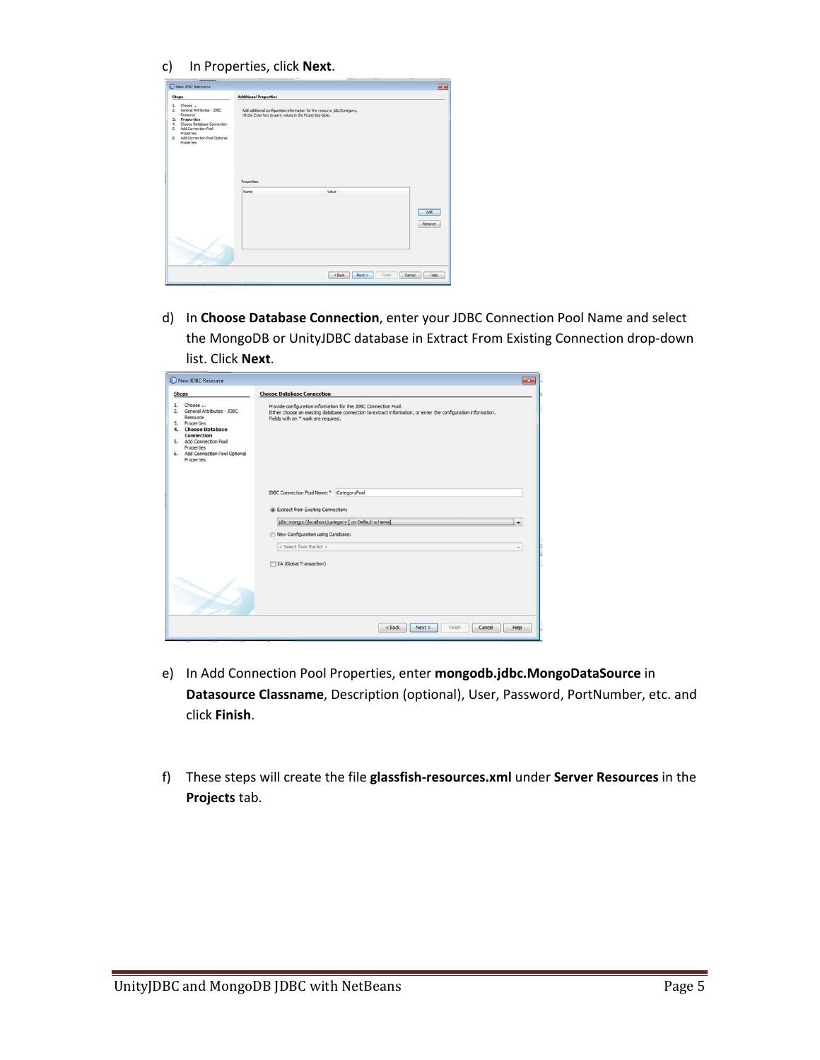c) In Properties, click **Next**.

| <b>Steps</b>                                                                                                                                                                                        | <b>Additional Properties</b>                              |                                                                          |               |
|-----------------------------------------------------------------------------------------------------------------------------------------------------------------------------------------------------|-----------------------------------------------------------|--------------------------------------------------------------------------|---------------|
| Choose<br>L.<br>2. General Attributes - XXIC<br>Resource<br>3. Properties<br>4. Choose Database Connection<br>5. Add Connection Pool<br>Properties<br>6. Add Connection Pool Optional<br>Properties | Hit the Enter key to save values in the Properties table. | Add additional configuration information for the resource jdbc/Category. |               |
|                                                                                                                                                                                                     | Properties:<br>Name                                       | Value                                                                    |               |
|                                                                                                                                                                                                     |                                                           |                                                                          | Add<br>Renove |
|                                                                                                                                                                                                     |                                                           |                                                                          |               |

d) In **Choose Database Connection**, enter your JDBC Connection Pool Name and select the MongoDB or UnityJDBC database in Extract From Existing Connection drop‐down list. Click **Next**.

| <b>Steps</b>                                                                                                                                                                                              | <b>Choose Database Connection</b>                                                                                                                                                                                      |      |
|-----------------------------------------------------------------------------------------------------------------------------------------------------------------------------------------------------------|------------------------------------------------------------------------------------------------------------------------------------------------------------------------------------------------------------------------|------|
| Choose<br>1.<br>General Attributes - JDBC<br>2.<br>Resource<br>3. Properties<br>4. Choose Database<br>Connection<br>5. Add Connection Pool<br>Properties<br>6. Add Connection Pool Optional<br>Properties | Provide configuration information for the JDBC Connection Pool.<br>Either choose an existing database connection to extract information, or enter the configuration information.<br>Fields with an *mark are required. |      |
|                                                                                                                                                                                                           | JDBC Connection Pool Name:" CategoryPool<br>C Extract from Existing Connection:<br>jdbc:mongo://localhost/category [ on Default schema]<br>New Configuration using Database:                                           |      |
|                                                                                                                                                                                                           | < Select from the list ><br>XA (Global Transaction)                                                                                                                                                                    | w    |
|                                                                                                                                                                                                           |                                                                                                                                                                                                                        |      |
|                                                                                                                                                                                                           | $<$ Back<br>Next<br>Finish<br>Cancel                                                                                                                                                                                   | Help |

- e) In Add Connection Pool Properties, enter **mongodb.jdbc.MongoDataSource** in **Datasource Classname**, Description (optional), User, Password, PortNumber, etc. and click **Finish**.
- f) These steps will create the file **glassfish‐resources.xml** under **Server Resources** in the **Projects** tab.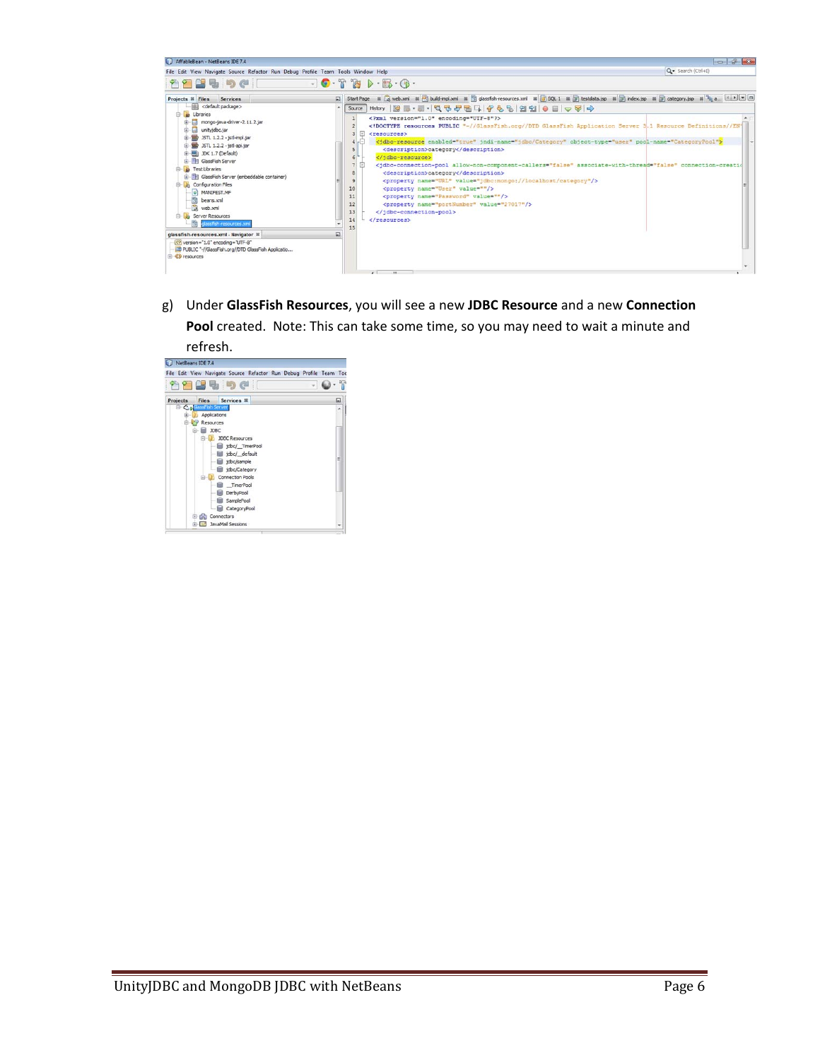| AffableBean - NetBeans IDE 7.4                                                                                                                                                                                                                                                                                                                                                                                                                                                                                                                                                                                                                                                                     |                                                                                                                                                                                                                                                                                                                                                                                                                                                                                                                                                                                                                                                                                    | - 6 X                                                                                                                                                                                                                                                                                                                                                                                                                   |
|----------------------------------------------------------------------------------------------------------------------------------------------------------------------------------------------------------------------------------------------------------------------------------------------------------------------------------------------------------------------------------------------------------------------------------------------------------------------------------------------------------------------------------------------------------------------------------------------------------------------------------------------------------------------------------------------------|------------------------------------------------------------------------------------------------------------------------------------------------------------------------------------------------------------------------------------------------------------------------------------------------------------------------------------------------------------------------------------------------------------------------------------------------------------------------------------------------------------------------------------------------------------------------------------------------------------------------------------------------------------------------------------|-------------------------------------------------------------------------------------------------------------------------------------------------------------------------------------------------------------------------------------------------------------------------------------------------------------------------------------------------------------------------------------------------------------------------|
| File Edit View Navigate Source Refactor Run Debug Profile Team Tools Window Help                                                                                                                                                                                                                                                                                                                                                                                                                                                                                                                                                                                                                   |                                                                                                                                                                                                                                                                                                                                                                                                                                                                                                                                                                                                                                                                                    | Q - Search (Ctrl+I)                                                                                                                                                                                                                                                                                                                                                                                                     |
| <b>nagencie</b>                                                                                                                                                                                                                                                                                                                                                                                                                                                                                                                                                                                                                                                                                    | $-0.78$<br>$\triangleright \cdot \mathfrak{g} \cdot \mathfrak{g} \cdot \mathfrak{g}$                                                                                                                                                                                                                                                                                                                                                                                                                                                                                                                                                                                               |                                                                                                                                                                                                                                                                                                                                                                                                                         |
| Projects <sup>II</sup> Files<br>Services<br><default package=""><br/>-88<br/><b>B</b> Libraries<br/>mongo-java-driver-2.11.2.jar<br/>曲<br/>口<br/>unityjdbc.jar<br/>(3) ISTL 1.2.2 - jstl-impl.jar<br/>E- 35TL 1.2.2 - jstl-api.jar<br/><b>ED 3DK 1.7 (Default)</b><br/><b>ER GlassFish Server</b><br/><b>B</b> Test Libraries<br/>e.<br/><b>E-BI GlassFish Server (embeddable container)</b><br/>Configuration Files<br/>@ MANIFEST.MF<br/>heans.xml<br/>web.xml<br/><b>B</b> <i>le</i> Server Resources<br/><b>By</b> glassfish-resources.xml<br/>glassfish-resources.xml - Navigator N<br/><? /version="1.0" encoding="UTF-8"<br>20 PUBLIC "-//GlassFish.org//DTD GlassFish Applicatio</default> | $\Box$<br>Start Page<br>Source<br>xml version="1.0" encoding="UTF-8"?<br>⊟<br><resources><br/><dbc-resource enabled="true" jndi-name="jdbc/Category" object-type="user" pool-name="CategoryPool"><br/>-9<br/><description>category</description><br/><br/>6<br/>⊟<br/><description>category</description><br/><property name="URL" value="jdbc:mongo://localhost/category"></property><br/><math>\mathbf{Q}</math><br/>10<br/><property name="User" value=""></property><br/><broperty name="Password" value=""></broperty><br/>11<br/><broperty name="portNumber" value="27017"></broperty><br/>12<br/><br/>13<br/><math>\epsilon</math>/resources&gt;</dbc-resource></resources> | 표 E web.xml # ( build-impl.xml # ( ) glassfish-resources.xml # ( B SQL 1 # ( ) testdata.jsp # ( ) index.jsp # ( ) ij category.jsp # ( ) a ( 1 > ( = ) [ ]<br>DOCTYPE resources PUBLIC "-//GlassFish.org//DTD GlassFish Application Server 3.1 Resource Definitions//EN"<br <idbc-connection-pool allow-non-component-callers="false" associate-with-thread="false" connection-creatio<="" th=""></idbc-connection-pool> |

g) Under **GlassFish Resources**, you will see a new **JDBC Resource** and a new **Connection Pool** created. Note: This can take some time, so you may need to wait a minute and  $refresh.$